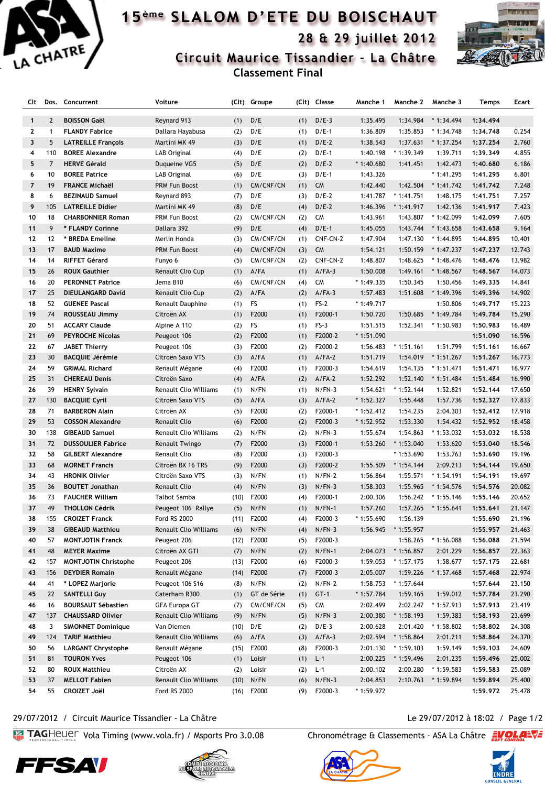

## 15<sup>ème</sup> SLALOM D'ETE DU BOISCHAUT 28 & 29 juillet 2012



Circuit Maurice Tissandier - La Châtre

**Classement Final**

| Clt          | Dos.           | Concurrent                  | Voiture                      |      | (Clt) Groupe | (Clt) | Classe    | Manche 1    | Manche 2                   | Manche 3    | Temps    | Ecart  |
|--------------|----------------|-----------------------------|------------------------------|------|--------------|-------|-----------|-------------|----------------------------|-------------|----------|--------|
|              |                |                             |                              |      |              |       |           |             |                            |             |          |        |
| $\mathbf{1}$ | $\overline{2}$ | <b>BOISSON Gaël</b>         | Reynard 913                  | (1)  | D/E          | (1)   | $D/E-3$   | 1:35.495    | 1:34.984                   | $*1:34.494$ | 1:34.494 |        |
| $\mathbf{z}$ | $\mathbf{1}$   | <b>FLANDY Fabrice</b>       | Dallara Hayabusa             | (2)  | D/E          | (1)   | $D/E-1$   | 1:36.809    | 1:35.853                   | $*1:34.748$ | 1:34.748 | 0.254  |
| 3            | 5              | <b>LATREILLE François</b>   | Martini MK 49                | (3)  | D/E          | (1)   | $D/E-2$   | 1:38.543    | 1:37.631                   | $*1:37.254$ | 1:37.254 | 2.760  |
| 4            | 110            | <b>BOREE Alexandre</b>      | LAB Original                 | (4)  | D/E          | (2)   | $D/E-1$   | 1:40.198    | $*1:39.349$                | 1:39.711    | 1:39.349 | 4.855  |
| 5            | $\overline{7}$ | <b>HERVE Gérald</b>         | Duqueine VG5                 | (5)  | D/E          | (2)   | $D/E-2$   | $*1:40.680$ | 1:41.451                   | 1:42.473    | 1:40.680 | 6.186  |
| 6            | 10             | <b>BOREE Patrice</b>        | LAB Original                 | (6)  | D/E          | (3)   | $D/E-1$   | 1:43.326    |                            | * 1:41.295  | 1:41.295 | 6.801  |
| 7            | 19             | <b>FRANCE Michaël</b>       | PRM Fun Boost                | (1)  | CM/CNF/CN    | (1)   | <b>CM</b> | 1:42.440    | 1:42.504                   | $*1:41.742$ | 1:41.742 | 7.248  |
| 8            | 6              | <b>BEZINAUD Samuel</b>      | Reynard 893                  | (7)  | D/E          | (3)   | $D/E-2$   | 1:41.787    | $*1:41.751$                | 1:48.175    | 1:41.751 | 7.257  |
| 9            | 105            | <b>LATREILLE Didier</b>     | Martini MK 49                | (8)  | D/E          | (4)   | $D/E-2$   | 1:46.396    | $*1:41.917$                | 1:42.136    | 1:41.917 | 7.423  |
| 10           | 18             | <b>CHARBONNIER Roman</b>    | PRM Fun Boost                | (2)  | CM/CNF/CN    | (2)   | <b>CM</b> | 1:43.961    | 1:43.807                   | * 1:42.099  | 1:42.099 | 7.605  |
| 11           | 9              | * FLANDY Corinne            | Dallara 392                  | (9)  | D/E          | (4)   | $D/E-1$   | 1:45.055    | 1:43.744                   | $*1:43.658$ | 1:43.658 | 9.164  |
| 12           | 12             | * BREDA Emeline             | Merlin Honda                 | (3)  | CM/CNF/CN    | (1)   | CNF-CN-2  | 1:47.904    | 1:47.130                   | * 1:44.895  | 1:44.895 | 10.401 |
| 13           | 17             | <b>BAUD Maxime</b>          | PRM Fun Boost                | (4)  | CM/CNF/CN    | (3)   | <b>CM</b> | 1:54.121    | 1:50.159                   | $*1:47.237$ | 1:47.237 | 12.743 |
| 14           | 14             | <b>RIFFET Gérard</b>        | Funyo 6                      | (5)  | CM/CNF/CN    | (2)   | CNF-CN-2  | 1:48.807    | 1:48.625                   | $*1:48.476$ | 1:48.476 | 13.982 |
| 15           | 26             | <b>ROUX Gauthier</b>        | Renault Clio Cup             | (1)  | $A$ /FA      | (1)   | $A/FA-3$  | 1:50.008    | 1:49.161                   | $*1:48.567$ | 1:48.567 | 14.073 |
| 16           | 20             | <b>PERONNET Patrice</b>     | Jema B10                     | (6)  | CM/CNF/CN    | (4)   | <b>CM</b> | $*1:49.335$ | 1:50.345                   | 1:50.456    | 1:49.335 | 14.841 |
| 17           | 25             | <b>DIEULANGARD David</b>    | Renault Clio Cup             | (2)  | $A$ /FA      | (2)   | $A/FA-3$  | 1:57.483    | 1:51.608                   | $*1:49.396$ | 1:49.396 | 14.902 |
| 18           | 52             | <b>GUENEE Pascal</b>        | Renault Dauphine             | (1)  | FS           | (1)   | $FS-2$    | $*1:49.717$ |                            | 1:50.806    | 1:49.717 | 15.223 |
| 19           | 74             | ROUSSEAU Jimmy              | Citroën AX                   | (1)  | F2000        | (1)   | F2000-1   | 1:50.720    | 1:50.685                   | $*1:49.784$ | 1:49.784 | 15.290 |
| 20           | 51             | <b>ACCARY Claude</b>        | Alpine A 110                 | (2)  | FS           | (1)   | $FS-3$    | 1:51.515    | 1:52.341                   | $*1:50.983$ | 1:50.983 | 16.489 |
| 21           | 69             | <b>PEYROCHE Nicolas</b>     | Peugeot 106                  | (2)  | F2000        | (1)   | F2000-2   | * 1:51.090  |                            |             | 1:51.090 | 16.596 |
| 22           | 67             | <b>JABET Thierry</b>        | Peugeot 106                  | (3)  | F2000        | (2)   | F2000-2   | 1:56.483    | $*1:51.161$                | 1:51.799    | 1:51.161 | 16.667 |
| 23           | 30             | <b>BACQUIE Jérémie</b>      | Citroën Saxo VTS             | (3)  | $A$ /FA      | (1)   | $A/FA-2$  | 1:51.719    | 1:54.019                   | $*1:51.267$ | 1:51.267 | 16.773 |
| 24           | 59             | <b>GRIMAL Richard</b>       | Renault Mégane               | (4)  | F2000        | (1)   | F2000-3   | 1:54.619    | 1:54.135                   | $*1:51.471$ | 1:51.471 | 16.977 |
| 25           | 31             | <b>CHEREAU Denis</b>        | Citroën Saxo                 | (4)  | $A$ /FA      | (2)   | $A/FA-2$  | 1:52.292    | 1:52.140                   | $*1:51.484$ | 1:51.484 | 16.990 |
| 26           | 39             | <b>HENRY Sylvain</b>        | Renault Clio Williams        | (1)  | N/FN         | (1)   | $N/FN-3$  | 1:54.621    | $*1:52.144$                | 1:52.821    | 1:52.144 | 17.650 |
| 27           | 130            | <b>BACQUIE Cyril</b>        | Citroën Saxo VTS             | (5)  | $A$ /FA      | (3)   | $A/FA-2$  | $*1:52.327$ | 1:55.448                   | 1:57.736    | 1:52.327 | 17.833 |
| 28           | 71             | <b>BARBERON Alain</b>       | Citroën AX                   | (5)  | F2000        | (2)   | F2000-1   | $*1:52.412$ | 1:54.235                   | 2:04.303    | 1:52.412 | 17.918 |
| 29           | 53             | <b>COSSON Alexandre</b>     | <b>Renault Clio</b>          | (6)  | F2000        | (2)   | F2000-3   | $*1:52.952$ | 1:53.330                   | 1:54.432    | 1:52.952 | 18.458 |
| 30           | 138            | <b>GIBEAUD Samuel</b>       | <b>Renault Clio Williams</b> | (2)  | N/FN         | (2)   | $N/FN-3$  | 1:55.674    | 1:54.863                   | $*1:53.032$ | 1:53.032 | 18.538 |
| 31           | 72             | <b>DUSSOULIER Fabrice</b>   | Renault Twingo               | (7)  | F2000        | (3)   | F2000-1   | 1:53.260    | $*1:53.040$                | 1:53.620    | 1:53.040 | 18.546 |
| 32           | 58             | <b>GILBERT Alexandre</b>    | <b>Renault Clio</b>          | (8)  | F2000        | (3)   | F2000-3   |             | $*1:53.690$                | 1:53.763    | 1:53.690 | 19.196 |
| 33           | 68             | <b>MORNET Francis</b>       | Citroën BX 16 TRS            | (9)  | F2000        | (3)   | F2000-2   | 1:55.509    | $*1:54.144$                | 2:09.213    | 1:54.144 | 19.650 |
| 34           | 43             | <b>HRONIK Olivier</b>       | Citroën Saxo VTS             | (3)  | N/FN         | (1)   | $N/FN-2$  | 1:56.864    | 1:55.571                   | * 1:54.191  | 1:54.191 | 19.697 |
| 35           | 36             | <b>BOUTET Jonathan</b>      | <b>Renault Clio</b>          | (4)  | N/FN         | (3)   | $N/FN-3$  | 1:58.303    | 1:55.965                   | $*1:54.576$ | 1:54.576 | 20.082 |
| 36           | 73             | <b>FAUCHER William</b>      | <b>Talbot Samba</b>          | (10) | F2000        | (4)   | F2000-1   | 2:00.306    | 1:56.242                   | $*1:55.146$ | 1:55.146 | 20.652 |
| 37           | 49             | <b>THOLLON Cédrik</b>       | Peugeot 106 Rallye           | (5)  | N/FN         | (1)   | $N/FN-1$  | 1:57.260    | 1:57.265                   | $*1:55.641$ | 1:55.641 | 21.147 |
| 38           | 155            | <b>CROIZET Franck</b>       | Ford RS 2000                 | (11) | F2000        | (4)   | F2000-3   | * 1:55.690  | 1:56.139                   |             | 1:55.690 | 21.196 |
| 39           | 38             | <b>GIBEAUD Matthieu</b>     | Renault Clio Williams        | (6)  | N/FN         | (4)   | $N/FN-3$  | 1:56.945    | $*1:55.957$                |             | 1:55.957 | 21.463 |
| 40           | 57             | <b>MONTJOTIN Franck</b>     | Peugeot 206                  | (12) | F2000        | (5)   | F2000-3   |             | 1:58.265                   | * 1:56.088  | 1:56.088 | 21.594 |
| 41           | 48             | <b>MEYER Maxime</b>         | Citroën AX GTI               |      | N/FN         |       | $N/FN-1$  |             |                            |             |          | 22.363 |
| 42           |                |                             |                              | (7)  | F2000        | (2)   | F2000-3   | 2:04.073    | $*1:56.857$<br>$*1:57.175$ | 2:01.229    | 1:56.857 |        |
|              | 157            | <b>MONTJOTIN Christophe</b> | Peugeot 206                  | (13) | F2000        | (6)   | F2000-3   | 1:59.053    |                            | 1:58.677    | 1:57.175 | 22.681 |
| 43           | 156            | <b>DEYDIER Romain</b>       | Renault Mégane               | (14) |              | (7)   |           | 2:05.007    | 1:59.226                   | $*1:57.468$ | 1:57.468 | 22.974 |
| 44           | 41             | * LOPEZ Marjorie            | Peugeot 106 S16              | (8)  | N/FN         | (2)   | $N/FN-2$  | 1:58.753    | $*1:57.644$                |             | 1:57.644 | 23.150 |
| 45           | 22             | <b>SANTELLI Guy</b>         | Caterham R300                | (1)  | GT de Série  | (1)   | $GT-1$    | $*1:57.784$ | 1:59.165                   | 1:59.012    | 1:57.784 | 23.290 |
| 46           | 16             | <b>BOURSAUT Sébastien</b>   | <b>GFA Europa GT</b>         | (7)  | CM/CNF/CN    | (5)   | <b>CM</b> | 2:02.499    | 2:02.247                   | $*1:57.913$ | 1:57.913 | 23.419 |
| 47           | 137            | <b>CHAUSSARD Olivier</b>    | Renault Clio Williams        | (9)  | N/FN         | (5)   | $N/FN-3$  | 2:00.380    | $*1:58.193$                | 1:59.383    | 1:58.193 | 23.699 |
| 48           | 3              | <b>SIMONNET Dominique</b>   | Van Diemen                   | (10) | D/E          | (2)   | $D/E-3$   | 2:00.628    | 2:01.420                   | $*1:58.802$ | 1:58.802 | 24.308 |
| 49           | 124            | <b>TARIF Matthieu</b>       | Renault Clio Williams        | (6)  | A/FA         | (3)   | $A/FA-3$  | 2:02.594    | $*1:58.864$                | 2:01.211    | 1:58.864 | 24.370 |
| 50           | 56             | <b>LARGANT Chrystophe</b>   | Renault Mégane               | (15) | F2000        | (8)   | F2000-3   | 2:01.130    | $*1:59.103$                | 1:59.149    | 1:59.103 | 24.609 |
| 51           | 81             | <b>TOURON Yves</b>          | Peugeot 106                  | (1)  | Loisir       | (1)   | $L - 1$   | 2:00.225    | $*1:59.496$                | 2:01.235    | 1:59.496 | 25.002 |
| 52           | 80             | <b>ROUX Matthieu</b>        | Citroën AX                   | (2)  | Loisir       | (2)   | $L-1$     | 2:00.102    | 2:00.280                   | $*1:59.583$ | 1:59.583 | 25.089 |
| 53           | 37             | <b>MELLOT Fabien</b>        | Renault Clio Williams        | (10) | N/FN         | (6)   | $N/FN-3$  | 2:04.853    | 2:10.763                   | * 1:59.894  | 1:59.894 | 25.400 |
| 54           | 55             | <b>CROIZET Joël</b>         | Ford RS 2000                 | (16) | F2000        | (9)   | F2000-3   | $*1:59.972$ |                            |             | 1:59.972 | 25.478 |

## 29/07/2012 / Circuit Maurice Tissandier - La Châtre Le 20/07/2012 à 18:02 / Page 1/2

**Volta TAG**Heuer Vola Timing (www.vola.fr) / Msports Pro 3.0.08 Chronométrage & Classements - ASA La Châtre  $\frac{210}{21}$